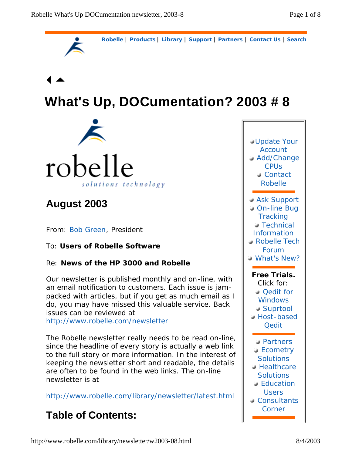

# **What's Up, DOCumentation? 2003 # 8**



## **August 2003**

From: Bob Green, President

### To: **Users of Robelle Software**

### Re: **News of the HP 3000 and Robelle**

Our newsletter is published monthly and on-line, with an email notification to customers. Each issue is jampacked with articles, but if you get as much email as I do, you may have missed this valuable service. Back issues can be reviewed at

http://www.robelle.com/newsletter

The Robelle newsletter really needs to be read on-line, since the headline of every story is actually a web link to the full story or more information. In the interest of keeping the newsletter short and readable, the details are often to be found in the web links. The on-line newsletter is at

http://www.robelle.com/library/newsletter/latest.html

## **Table of Contents:**

| <b>Update Your</b><br><b>Account</b><br>Add/Change<br><b>CPUs</b><br>Contact<br><b>Robelle</b>                                  |
|---------------------------------------------------------------------------------------------------------------------------------|
| Ask Support<br>On-line Bug<br><b>Tracking</b><br><b>Technical</b><br>Information<br><b>Robelle Tech</b><br>Forum<br>What's New? |
| Free Trials.<br>Click for:<br>Oedit for<br><b>Windows</b><br>Suprtool<br>Host-based                                             |
| <b>Qedit</b>                                                                                                                    |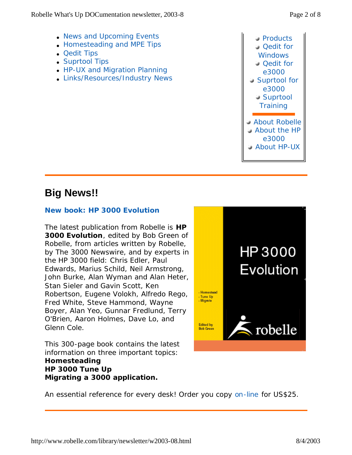• News and Upcoming Events **.** Homesteading and MPE Tips

• HP-UX and Migration Planning • Links/Resources/Industry News

 Products Qedit for **Windows Qedit for** e3000 Suprtool for e3000 Suprtool **Training**  About Robelle About the HP e3000 About HP-UX

## **Big News!!**

• Qedit Tips • Suprtool Tips

#### **New book:** *HP 3000 Evolution*

The latest publication from Robelle is *HP 3000 Evolution*, edited by Bob Green of Robelle, from articles written by Robelle, by *The 3000 Newswire*, and by experts in the HP 3000 field: Chris Edler, Paul Edwards, Marius Schild, Neil Armstrong, John Burke, Alan Wyman and Alan Heter, Stan Sieler and Gavin Scott, Ken Robertson, Eugene Volokh, Alfredo Rego, Fred White, Steve Hammond, Wayne Boyer, Alan Yeo, Gunnar Fredlund, Terry O'Brien, Aaron Holmes, Dave Lo, and Glenn Cole.

This 300-page book contains the latest information on three important topics: **Homesteading HP 3000 Tune Up Migrating a 3000 application.**



An essential reference for every desk! Order you copy on-line for US\$25.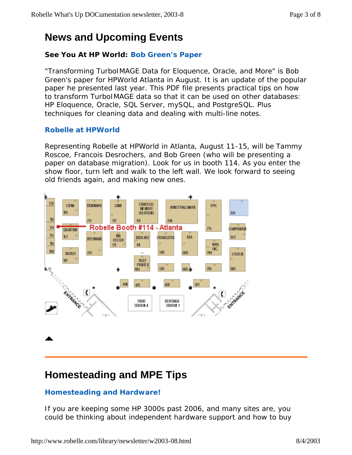## **News and Upcoming Events**

### **See You At HP World: Bob Green's Paper**

"Transforming TurboIMAGE Data for Eloquence, Oracle, and More" is Bob Green's paper for HPWorld Atlanta in August. It is an update of the popular paper he presented last year. This PDF file presents practical tips on how to transform TurboIMAGE data so that it can be used on other databases: HP Eloquence, Oracle, SQL Server, mySQL, and PostgreSQL. Plus techniques for cleaning data and dealing with multi-line notes.

### **Robelle at HPWorld**

Representing Robelle at HPWorld in Atlanta, August 11-15, will be Tammy Roscoe, Francois Desrochers, and Bob Green (who will be presenting a paper on database migration). Look for us in booth 114. As you enter the show floor, turn left and walk to the left wall. We look forward to seeing old friends again, and making new ones.



## **Homesteading and MPE Tips**

### **Homesteading and Hardware!**

If you are keeping some HP 3000s past 2006, and many sites are, you could be thinking about independent hardware support and how to buy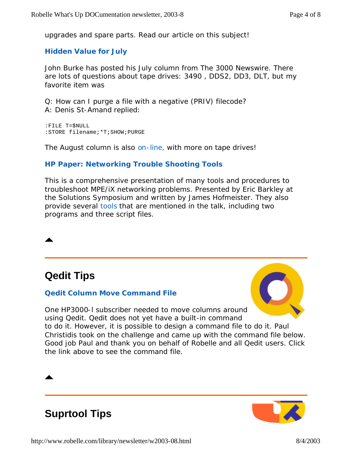upgrades and spare parts. Read our article on this subject!

#### **Hidden Value for July**

John Burke has posted his July column from *The 3000 Newswire*. There are lots of questions about tape drives: 3490 , DDS2, DD3, DLT, but my favorite item was

Q: How can I purge a file with a negative (PRIV) filecode? A: Denis St-Amand replied:

:FILE T=\$NULL :STORE filename;\*T;SHOW;PURGE

The August column is also on-line, with more on tape drives!

#### **HP Paper: Networking Trouble Shooting Tools**

This is a comprehensive presentation of many tools and procedures to troubleshoot MPE/iX networking problems. Presented by Eric Barkley at the Solutions Symposium and written by James Hofmeister. They also provide several tools that are mentioned in the talk, including two programs and three script files.



#### **Qedit Column Move Command File**



One HP3000-l subscriber needed to move columns around using Qedit. Qedit does not yet have a built-in command to do it. However, it is possible to design a command file to do it. Paul Christidis took on the challenge and came up with the command file below. Good job Paul and thank you on behalf of Robelle and all Qedit users. Click the link above to see the command file.

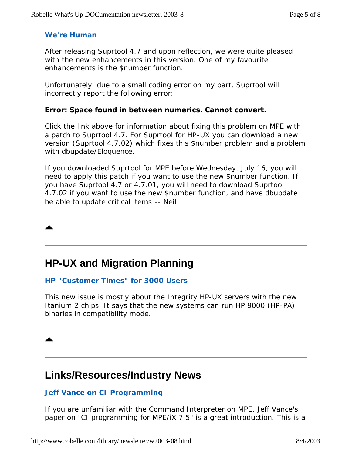#### **We're Human**

After releasing Suprtool 4.7 and upon reflection, we were quite pleased with the new enhancements in this version. One of my favourite enhancements is the \$number function.

Unfortunately, due to a small coding error on my part, Suprtool will incorrectly report the following error:

#### **Error: Space found in between numerics. Cannot convert.**

Click the link above for information about fixing this problem on MPE with a patch to Suprtool 4.7. For Suprtool for HP-UX you can download a new version (Suprtool 4.7.02) which fixes this \$number problem and a problem with dbupdate/Eloquence.

If you downloaded Suprtool for MPE before Wednesday, July 16, you will need to apply this patch if you want to use the new \$number function. If you have Suprtool 4.7 or 4.7.01, you will need to download Suprtool 4.7.02 if you want to use the new \$number function, and have dbupdate be able to update critical items -- Neil

## **HP-UX and Migration Planning**

#### **HP "Customer Times" for 3000 Users**

This new issue is mostly about the Integrity HP-UX servers with the new Itanium 2 chips. It says that the new systems can run HP 9000 (HP-PA) binaries in compatibility mode.

## **Links/Resources/Industry News**

#### **Jeff Vance on CI Programming**

If you are unfamiliar with the Command Interpreter on MPE, Jeff Vance's paper on "CI programming for MPE/iX 7.5" is a great introduction. This is a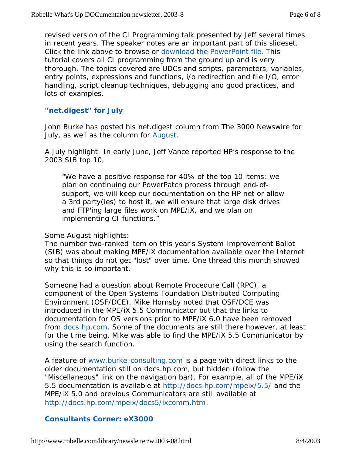revised version of the CI Programming talk presented by Jeff several times in recent years. The speaker notes are an important part of this slideset. Click the link above to browse or download the PowerPoint file. This tutorial covers all CI programming from the ground up and is very thorough. The topics covered are UDCs and scripts, parameters, variables, entry points, expressions and functions, i/o redirection and file I/O, error handling, script cleanup techniques, debugging and good practices, and lots of examples.

#### **"net.digest" for July**

John Burke has posted his *net.digest* column from *The 3000 Newswire* for July, as well as the column for August.

A July highlight: In early June, Jeff Vance reported HP's response to the 2003 SIB top 10,

"We have a positive response for 40% of the top 10 items: we plan on continuing our PowerPatch process through end-ofsupport, we will keep our documentation on the HP net or allow a 3rd party(ies) to host it, we will ensure that large disk drives and FTP'ing large files work on MPE/iX, and we plan on implementing CI functions."

#### Some August highlights:

The number two-ranked item on this year's System Improvement Ballot (SIB) was about making MPE/iX documentation available over the Internet so that things do not get "lost" over time. One thread this month showed why this is so important.

Someone had a question about Remote Procedure Call (RPC), a component of the Open Systems Foundation Distributed Computing Environment (OSF/DCE). Mike Hornsby noted that OSF/DCE was introduced in the MPE/iX 5.5 Communicator but that the links to documentation for OS versions prior to MPE/iX 6.0 have been removed from docs.hp.com. Some of the documents are still there however, at least for the time being. Mike was able to find the MPE/iX 5.5 Communicator by using the search function.

A feature of www.burke-consulting.com is a page with direct links to the older documentation still on docs.hp.com, but hidden (follow the "Miscellaneous" link on the navigation bar). For example, all of the MPE/iX 5.5 documentation is available at http://docs.hp.com/mpeix/5.5/ and the MPE/iX 5.0 and previous Communicators are still available at http://docs.hp.com/mpeix/docs5/ixcomm.htm.

#### **Consultants Corner: eX3000**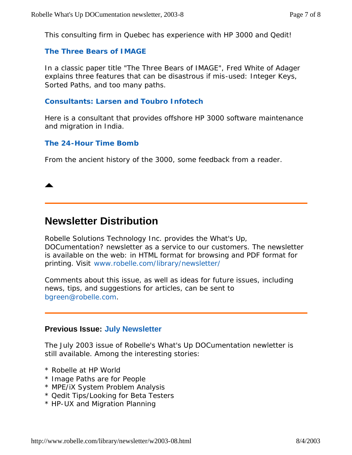This consulting firm in Quebec has experience with HP 3000 and Qedit!

#### **The Three Bears of IMAGE**

In a classic paper title "The Three Bears of IMAGE", Fred White of Adager explains three features that can be disastrous if mis-used: Integer Keys, Sorted Paths, and too many paths.

#### **Consultants: Larsen and Toubro Infotech**

Here is a consultant that provides offshore HP 3000 software maintenance and migration in India.

#### **The 24-Hour Time Bomb**

From the ancient history of the 3000, some feedback from a reader.

## **Newsletter Distribution**

Robelle Solutions Technology Inc. provides the *What's Up, DOCumentation?* newsletter as a service to our customers. The newsletter is available on the web: in HTML format for browsing and PDF format for printing. Visit www.robelle.com/library/newsletter/

Comments about this issue, as well as ideas for future issues, including news, tips, and suggestions for articles, can be sent to bgreen@robelle.com.

#### **Previous Issue: July Newsletter**

The July 2003 issue of Robelle's What's Up DOCumentation newletter is still available. Among the interesting stories:

- \* Robelle at HP World
- \* Image Paths are for People
- \* MPE/iX System Problem Analysis
- \* Qedit Tips/Looking for Beta Testers
- \* HP-UX and Migration Planning